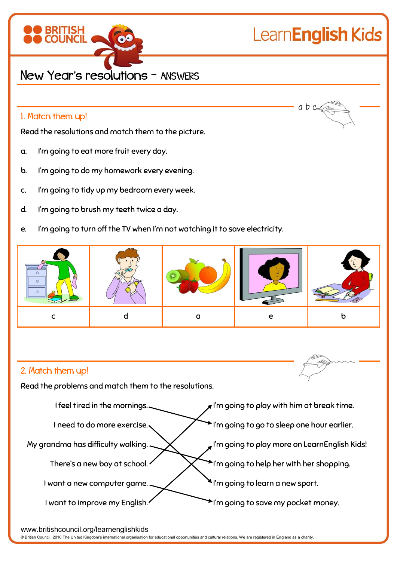

# LearnEnglish Kids

 $ab$   $c$ 

## New Year's resolutions – ANSWERS

#### 1. Match them up!

Read the resolutions and match them to the picture.

- a. I'm going to eat more fruit every day.
- b. I'm going to do my homework every evening.
- c. I'm going to tidy up my bedroom every week.
- d. I'm going to brush my teeth twice a day.
- e. I'm going to turn off the TV when I'm not watching it to save electricity.



### 2. Match them up!

Read the problems and match them to the resolutions.



www.britishcouncil.org/learnenglishkids

© British Council, 2016 The United Kingdom's international organisation for educational opportunities and cultural relations. We are registered in England as a charity.